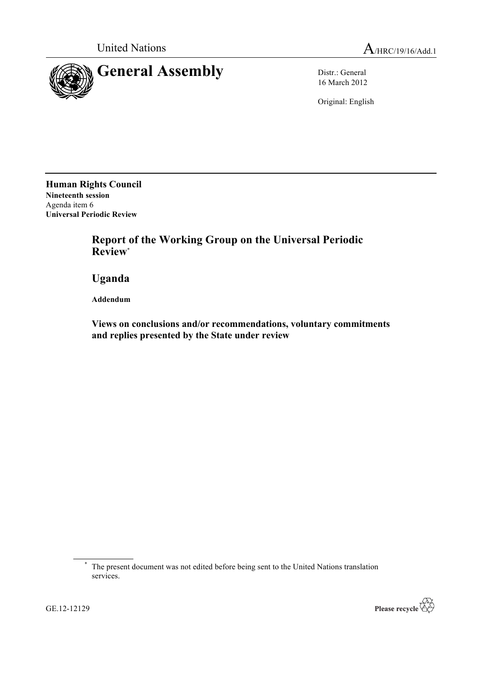

16 March 2012

Original: English

**Human Rights Council Nineteenth session** Agenda item 6 **Universal Periodic Review**

> **Report of the Working Group on the Universal Periodic Review**\*

**Uganda**

**Addendum**

**Views on conclusions and/or recommendations, voluntary commitments and replies presented by the State under review**



<sup>\*</sup> The present document was not edited before being sent to the United Nations translation services.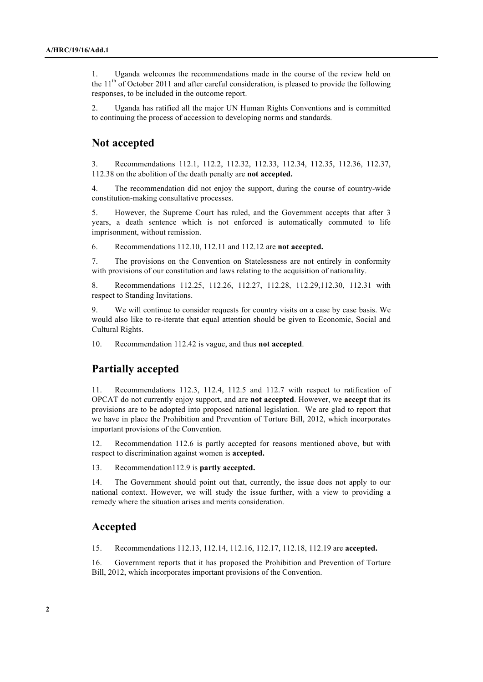1. Uganda welcomes the recommendations made in the course of the review held on the  $11<sup>th</sup>$  of October 2011 and after careful consideration, is pleased to provide the following responses, to be included in the outcome report.

2. Uganda has ratified all the major UN Human Rights Conventions and is committed to continuing the process of accession to developing norms and standards.

## **Not accepted**

3. Recommendations 112.1, 112.2, 112.32, 112.33, 112.34, 112.35, 112.36, 112.37, 112.38 on the abolition of the death penalty are **not accepted.**

4. The recommendation did not enjoy the support, during the course of country-wide constitution-making consultative processes.

5. However, the Supreme Court has ruled, and the Government accepts that after 3 years, a death sentence which is not enforced is automatically commuted to life imprisonment, without remission.

6. Recommendations 112.10, 112.11 and 112.12 are **not accepted.**

7. The provisions on the Convention on Statelessness are not entirely in conformity with provisions of our constitution and laws relating to the acquisition of nationality.

8. Recommendations 112.25, 112.26, 112.27, 112.28, 112.29,112.30, 112.31 with respect to Standing Invitations.

9. We will continue to consider requests for country visits on a case by case basis. We would also like to re-iterate that equal attention should be given to Economic, Social and Cultural Rights.

10. Recommendation 112.42 is vague, and thus **not accepted**.

## **Partially accepted**

11. Recommendations 112.3, 112.4, 112.5 and 112.7 with respect to ratification of OPCAT do not currently enjoy support, and are **not accepted**. However, we **accept** that its provisions are to be adopted into proposed national legislation. We are glad to report that we have in place the Prohibition and Prevention of Torture Bill, 2012, which incorporates important provisions of the Convention.

12. Recommendation 112.6 is partly accepted for reasons mentioned above, but with respect to discrimination against women is **accepted.**

13. Recommendation112.9 is **partly accepted.**

14. The Government should point out that, currently, the issue does not apply to our national context. However, we will study the issue further, with a view to providing a remedy where the situation arises and merits consideration.

## **Accepted**

15. Recommendations 112.13, 112.14, 112.16, 112.17, 112.18, 112.19 are **accepted.**

16. Government reports that it has proposed the Prohibition and Prevention of Torture Bill, 2012, which incorporates important provisions of the Convention.